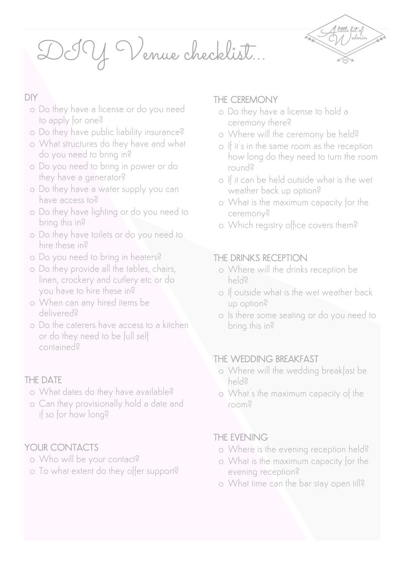DIY Venue checklist…



## DIY

- o Do they have a license or do you need to apply for one?
- o Do they have public liability insurance?
- o What structures do they have and what do you need to bring in?
- o Do you need to bring in power or do they have a generator?
- o Do they have a water supply you can have access to?
- o Do they have lighting or do you need to bring this in?
- o Do they have toilets or do you need to hire these in?
- o Do you need to bring in heaters?
- o Do they provide all the tables, chairs, linen, crockery and cutlery etc or do you have to hire these in?
- o When can any hired items be delivered?
- o Do the caterers have access to a kitchen or do they need to be full self contained?

## THE DATE

- o What dates do they have available?
- o Can they provisionally hold a date and if so for how long?

# YOUR CONTACTS

- o Who will be your contact?
- o To what extent do they offer support?

# THE CEREMONY

- o Do they have a license to hold a ceremony there?
- o Where will the ceremony be held?
- o If it's in the same room as the reception how long do they need to turn the room round?
- o If it can be held outside what is the wet weather back up option?
- o What is the maximum capacity for the ceremony?
- o Which registry office covers them?

# THE DRINKS RECEPTION

- o Where will the drinks reception be held?
- o If outside what is the wet weather back up option?
- o Is there some seating or do you need to bring this in?

# THE WEDDING BREAKFAST

- o Where will the wedding breakfast be held?
- o What's the maximum capacity of the room?

# THE EVENING

- o Where is the evening reception held?
- o What is the maximum capacity for the evening reception?
- o What time can the bar stay open till?